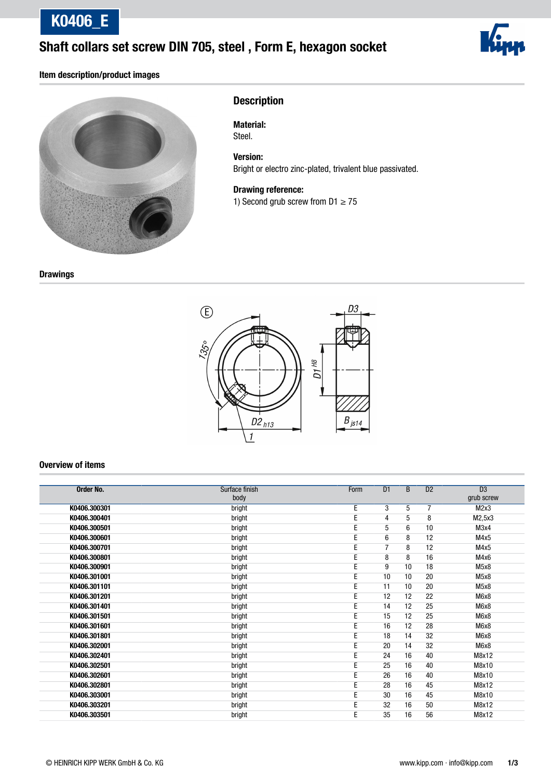K0406\_E

### Shaft collars set screw DIN 705, steel , Form E, hexagon socket



#### Item description/product images



### **Description**

Material: Steel.

Version: Bright or electro zinc-plated, trivalent blue passivated.

Drawing reference:

1) Second grub screw from  $D1 \ge 75$ 

**Drawings** 



#### Overview of items

| <b>Order No.</b> | Surface finish | Form | D1             | B  | D2 | $\overline{D3}$   |
|------------------|----------------|------|----------------|----|----|-------------------|
|                  | body           |      |                |    |    | grub screw        |
| K0406.300301     | bright         | E    | 3              | 5  | 7  | M2x3              |
| K0406.300401     | bright         | E    | 4              | 5  | 8  | M2,5x3            |
| K0406.300501     | bright         | E    | 5              | 6  | 10 | M3x4              |
| K0406.300601     | bright         | E    | 6              | 8  | 12 | M4x5              |
| K0406.300701     | bright         | E    | $\overline{7}$ | 8  | 12 | M4x5              |
| K0406.300801     | bright         | E    | 8              | 8  | 16 | M4x6              |
| K0406.300901     | bright         | E    | 9              | 10 | 18 | M <sub>5</sub> x8 |
| K0406.301001     | bright         | E    | 10             | 10 | 20 | M5x8              |
| K0406.301101     | bright         | E    | 11             | 10 | 20 | M <sub>5</sub> x8 |
| K0406.301201     | bright         | E    | 12             | 12 | 22 | M6x8              |
| K0406.301401     | bright         | E    | 14             | 12 | 25 | M6x8              |
| K0406.301501     | bright         | E    | 15             | 12 | 25 | M6x8              |
| K0406.301601     | bright         | E    | 16             | 12 | 28 | M6x8              |
| K0406.301801     | bright         | E    | 18             | 14 | 32 | M6x8              |
| K0406.302001     | bright         | E    | 20             | 14 | 32 | M6x8              |
| K0406.302401     | bright         | E    | 24             | 16 | 40 | M8x12             |
| K0406.302501     | bright         | E    | 25             | 16 | 40 | M8x10             |
| K0406.302601     | bright         | E    | 26             | 16 | 40 | M8x10             |
| K0406.302801     | bright         | E    | 28             | 16 | 45 | M8x12             |
| K0406.303001     | bright         | E    | 30             | 16 | 45 | M8x10             |
| K0406.303201     | bright         | Ε    | 32             | 16 | 50 | M8x12             |
| K0406.303501     | bright         | E    | 35             | 16 | 56 | M8x12             |
|                  |                |      |                |    |    |                   |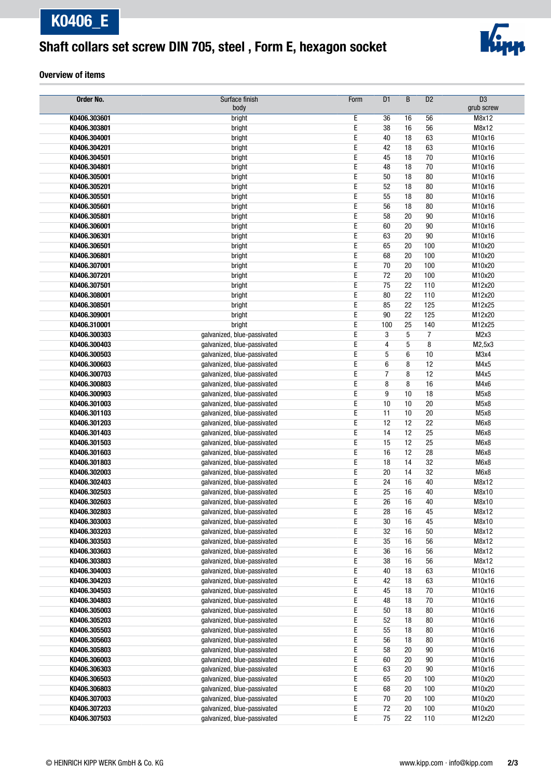# Shaft collars set screw DIN 705, steel , Form E, hexagon socket



#### Overview of items

| Order No.                    | Surface finish                                             | Form   | $\overline{D1}$ | $\overline{B}$ | D2      | $\overline{D3}$             |
|------------------------------|------------------------------------------------------------|--------|-----------------|----------------|---------|-----------------------------|
|                              | body                                                       |        |                 |                |         | grub screw                  |
| K0406.303601                 | bright                                                     | Ε      | 36              | 16             | 56      | M8x12                       |
| K0406.303801                 | bright                                                     | Ε      | 38              | 16             | 56      | M8x12                       |
| K0406.304001                 | bright                                                     | Ε      | 40              | 18             | 63      | M10x16                      |
| K0406.304201                 | bright                                                     | E      | 42              | 18             | 63      | M10x16                      |
| K0406.304501                 | bright                                                     | Ε      | 45              | 18             | 70      | M10x16                      |
| K0406.304801                 | bright                                                     | Е      | 48              | 18             | 70      | M10x16                      |
| K0406.305001                 | bright                                                     | Ε      | 50              | 18             | 80      | M10x16                      |
| K0406.305201                 | bright                                                     | E      | 52              | 18             | 80      | M10x16                      |
| K0406.305501                 | bright                                                     | Ε      | 55              | 18             | 80      | M10x16                      |
| K0406.305601                 | bright                                                     | E      | 56              | 18             | 80      | M10x16                      |
| K0406.305801                 | bright                                                     | Е      | 58              | 20             | 90      | M10x16                      |
| K0406.306001                 | bright                                                     | Ε      | 60              | 20             | 90      | M10x16                      |
| K0406.306301                 | bright                                                     | Ε      | 63              | 20             | 90      | M10x16                      |
| K0406.306501                 | bright                                                     | Ε      | 65              | 20             | 100     | M10x20                      |
| K0406.306801                 | bright                                                     | Ε      | 68              | 20             | 100     | M10x20                      |
| K0406.307001                 | bright                                                     | Ε      | 70              | 20             | 100     | M10x20                      |
| K0406.307201                 | bright                                                     | E      | 72              | 20             | 100     | M10x20                      |
| K0406.307501                 | bright                                                     | E      | 75              | 22             | 110     | M12x20                      |
| K0406.308001                 | bright                                                     | Е      | 80              | 22             | 110     | M12x20                      |
| K0406.308501                 | bright                                                     | Ε      | 85              | 22             | 125     | M12x25                      |
| K0406.309001                 | bright                                                     | E      | 90              | 22             | 125     | M12x20                      |
| K0406.310001                 | bright                                                     | Ε      | 100             | 25             | 140     | M12x25                      |
| K0406.300303                 | galvanized, blue-passivated                                | Ε      | 3               | 5              | 7       | M2x3                        |
| K0406.300403<br>K0406.300503 | galvanized, blue-passivated<br>galvanized, blue-passivated | Е<br>E | 4<br>5          | 5<br>6         | 8<br>10 | M2,5x3<br>M <sub>3</sub> x4 |
| K0406.300603                 | galvanized, blue-passivated                                | Ε      | $6\phantom{1}6$ | 8              | 12      | M4x5                        |
| K0406.300703                 | galvanized, blue-passivated                                | Ε      | $\overline{7}$  | 8              | 12      | M4x5                        |
| K0406.300803                 | galvanized, blue-passivated                                | Ε      | 8               | 8              | 16      | M4x6                        |
| K0406.300903                 | galvanized, blue-passivated                                | E      | 9               | 10             | 18      | M5x8                        |
| K0406.301003                 | galvanized, blue-passivated                                | E      | 10              | 10             | 20      | M5x8                        |
| K0406.301103                 | galvanized, blue-passivated                                | Ε      | 11              | 10             | 20      | M <sub>5</sub> x8           |
| K0406.301203                 | galvanized, blue-passivated                                | Е      | 12              | 12             | 22      | M6x8                        |
| K0406.301403                 | galvanized, blue-passivated                                | Ε      | 14              | 12             | 25      | M6x8                        |
| K0406.301503                 | galvanized, blue-passivated                                | E      | 15              | 12             | 25      | M6x8                        |
| K0406.301603                 | galvanized, blue-passivated                                | Ε      | 16              | 12             | 28      | M6x8                        |
| K0406.301803                 | galvanized, blue-passivated                                | Ε      | 18              | 14             | 32      | M6x8                        |
| K0406.302003                 | galvanized, blue-passivated                                | E      | 20              | 14             | 32      | M6x8                        |
| K0406.302403                 | galvanized, blue-passivated                                | Ε      | 24              | 16             | 40      | M8x12                       |
| K0406.302503                 | galvanized, blue-passivated                                | E      | 25              | 16             | 40      | M8x10                       |
| K0406.302603                 | galvanized, blue-passivated                                | E      | 26              | 16             | 40      | M8x10                       |
| K0406.302803                 | galvanized, blue-passivated                                | Ε      | 28              | 16             | 45      | M8x12                       |
| K0406.303003                 | galvanized, blue-passivated                                | E      | 30              | 16             | 45      | M8x10                       |
| K0406.303203                 | galvanized, blue-passivated                                | Е      | 32              | 16             | 50      | M8x12                       |
| K0406.303503                 | galvanized, blue-passivated                                | Ε      | 35              | 16             | 56      | M8x12                       |
| K0406.303603                 | galvanized, blue-passivated                                | E      | 36              | 16             | 56      | M8x12                       |
| K0406.303803                 | galvanized, blue-passivated                                | E      | 38              | 16             | 56      | M8x12                       |
| K0406.304003                 | galvanized, blue-passivated                                | Ε      | 40              | 18             | 63      | M10x16                      |
| K0406.304203                 | galvanized, blue-passivated                                | E      | 42              | 18             | 63      | M10x16                      |
| K0406.304503                 | galvanized, blue-passivated                                | Ε      | 45              | 18             | 70      | M10x16                      |
| K0406.304803                 | galvanized, blue-passivated                                | E      | 48              | 18             | 70      | M10x16                      |
| K0406.305003                 | galvanized, blue-passivated                                | Ε      | 50              | 18             | 80      | M10x16                      |
| K0406.305203                 | galvanized, blue-passivated                                | Е      | 52              | 18             | 80      | M10x16                      |
| K0406.305503                 | galvanized, blue-passivated                                | Ε      | 55              | 18             | 80      | M10x16                      |
| K0406.305603                 | galvanized, blue-passivated                                | Ε      | 56              | 18             | 80      | M10x16                      |
| K0406.305803                 | galvanized, blue-passivated                                | E      | 58              | 20             | 90      | M10x16                      |
| K0406.306003                 | galvanized, blue-passivated                                | Ε      | 60              | 20             | 90      | M10x16                      |
| K0406.306303                 | galvanized, blue-passivated                                | E      | 63              | 20             | $90\,$  | M10x16                      |
| K0406.306503                 | galvanized, blue-passivated                                | Ε      | 65              | 20             | 100     | M10x20                      |
| K0406.306803                 | galvanized, blue-passivated                                | E      | 68              | 20             | 100     | M10x20                      |
| K0406.307003                 | galvanized, blue-passivated                                | Ε      | 70              | 20             | 100     | M10x20                      |
| K0406.307203                 | galvanized, blue-passivated                                | E      | 72              | 20             | 100     | M10x20                      |
| K0406.307503                 | galvanized, blue-passivated                                | Ε      | 75              | 22             | 110     | M12x20                      |